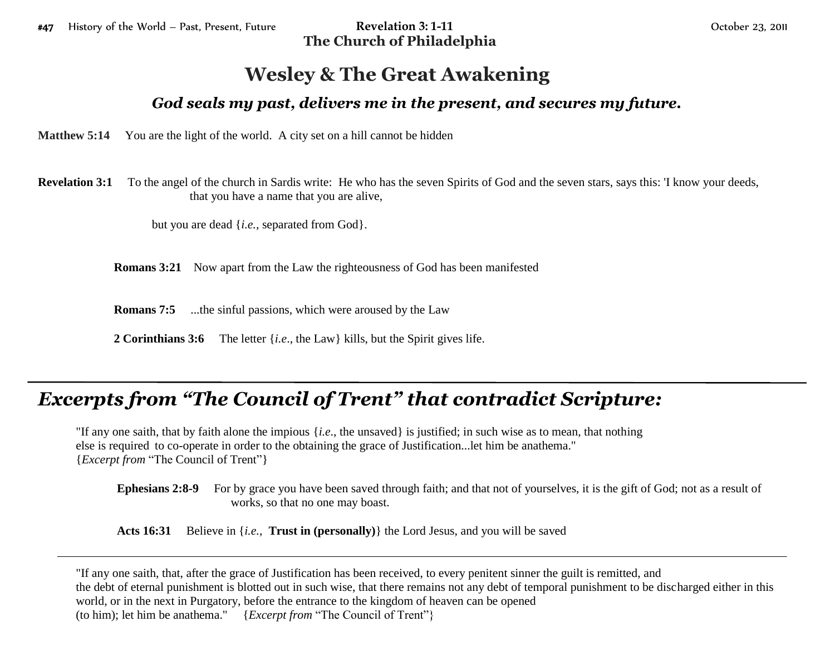**The Church of Philadelphia**

## **Wesley & The Great Awakening**

## *God seals my past, delivers me in the present, and secures my future.*

**Matthew 5:14** You are the light of the world. A city set on a hill cannot be hidden

**Revelation 3:1** To the angel of the church in Sardis write: He who has the seven Spirits of God and the seven stars, says this: 'I know your deeds, that you have a name that you are alive,

but you are dead {*i.e.,* separated from God}.

**Romans 3:21** Now apart from the Law the righteousness of God has been manifested

**Romans 7:5** ...the sinful passions, which were aroused by the Law

**2 Corinthians 3:6** The letter {*i.e*., the Law} kills, but the Spirit gives life.

## *Excerpts from "The Council of Trent" that contradict Scripture:*

"If any one saith, that by faith alone the impious {*i.e*., the unsaved} is justified; in such wise as to mean, that nothing else is required to co-operate in order to the obtaining the grace of Justification...let him be anathema." {*Excerpt from* "The Council of Trent"}

**Ephesians 2:8-9** For by grace you have been saved through faith; and that not of yourselves, it is the gift of God; not as a result of works, so that no one may boast.

**Acts 16:31** Believe in {*i.e.,* **Trust in (personally)**} the Lord Jesus, and you will be saved

"If any one saith, that, after the grace of Justification has been received, to every penitent sinner the guilt is remitted, and the debt of eternal punishment is blotted out in such wise, that there remains not any debt of temporal punishment to be discharged either in this world, or in the next in Purgatory, before the entrance to the kingdom of heaven can be opened (to him); let him be anathema." {*Excerpt from* "The Council of Trent"}